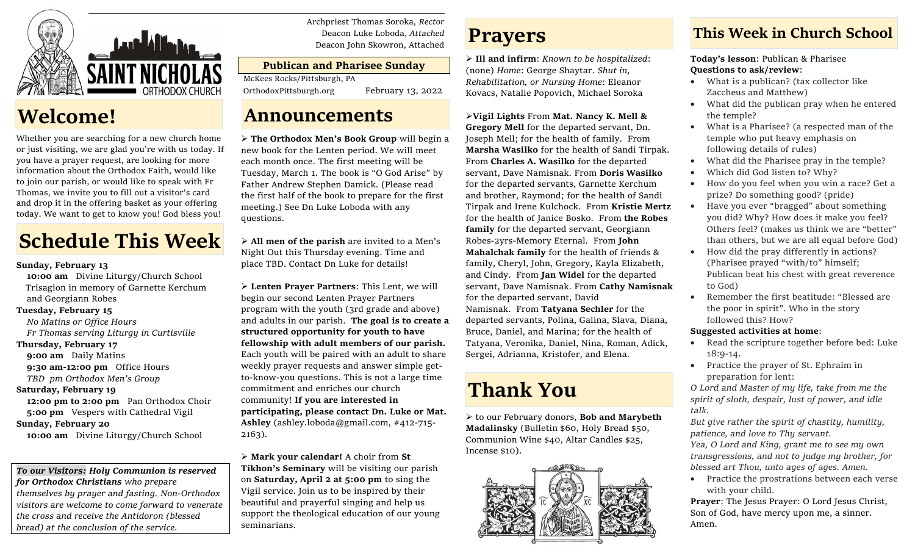

## **Welcome!**

Whether you are searching for a new church home or just visiting, we are glad you're with us today. If you have a prayer request, are looking for more information about the Orthodox Faith, would like to join our parish, or would like to speak with Fr Thomas, we invite you to fill out a visitor's card and drop it in the offering basket as your offering today. We want to get to know you! God bless you!

# **Schedule This Week**

## **Sunday, February 13**

 **10:00 am** Divine Liturgy/Church School Trisagion in memory of Garnette Kerchum and Georgiann Robes

## **Tuesday, February 15**

 *No Matins or Office Hours Fr Thomas serving Liturgy in Curtisville*

## **Thursday, February 17**

**9:00 am** Daily Matins **9:30 am-12:00 pm** Office Hours  *TBD pm Orthodox Men's Group*

## **Saturday, February 19**

 **12:00 pm to 2:00 pm** Pan Orthodox Choir **5:00 pm** Vespers with Cathedral Vigil

## **Sunday, February 20**

 **10:00 am** Divine Liturgy/Church School

#### *To our Visitors: Holy Communion is reserved for Orthodox Christians who prepare*

*themselves by prayer and fasting. Non-Orthodox visitors are welcome to come forward to venerate the cross and receive the Antidoron (blessed bread) at the conclusion of the service.*

Archpriest Thomas Soroka, *Rector* Deacon Luke Loboda, *Attached* Deacon John Skowron, Attached

## **Publican and Pharisee Sunday**

McKees Rocks/Pittsburgh, PA

OrthodoxPittsburgh.org February 13, 2022

## **Announcements**

➢ **The Orthodox Men's Book Group** will begin a new book for the Lenten period. We will meet each month once. The first meeting will be Tuesday, March 1. The book is "O God Arise" by Father Andrew Stephen Damick. (Please read the first half of the book to prepare for the first meeting.) See Dn Luke Loboda with any questions.

➢ **All men of the parish** are invited to a Men's Night Out this Thursday evening. Time and place TBD. Contact Dn Luke for details!

➢ **Lenten Prayer Partners**: This Lent, we will begin our second Lenten Prayer Partners program with the youth (3rd grade and above) and adults in our parish. **The goal is to create a structured opportunity for youth to have fellowship with adult members of our parish.** Each youth will be paired with an adult to share weekly prayer requests and answer simple getto-know-you questions. This is not a large time commitment and enriches our church community! **If you are interested in participating, please contact Dn. Luke or Mat. Ashley** (ashley.loboda@gmail.com, #412-715- 2163).

➢ **Mark your calendar!** A choir from **St Tikhon's Seminary** will be visiting our parish on **Saturday, April 2 at 5:00 pm** to sing the Vigil service. Join us to be inspired by their beautiful and prayerful singing and help us support the theological education of our young seminarians.

## **Prayers**

➢ **Ill and infirm**: *Known to be hospitalized*: (none) *Home*: George Shaytar. *Shut in, Rehabilitation, or Nursing Home*: Eleanor Kovacs, Natalie Popovich, Michael Soroka

➢**Vigil Lights** From **Mat. Nancy K. Mell & Gregory Mell** for the departed servant, Dn. Joseph Mell; for the health of family. From **Marsha Wasilko** for the health of Sandi Tirpak. From **Charles A. Wasilko** for the departed servant, Dave Namisnak. From **Doris Wasilko**  for the departed servants, Garnette Kerchum and brother, Raymond; for the health of Sandi Tirpak and Irene Kulchock. From **Kristie Mertz**  for the health of Janice Bosko. From **the Robes family** for the departed servant, Georgiann Robes-2yrs-Memory Eternal. From **John Mahalchak family** for the health of friends & family, Cheryl, John, Gregory, Kayla Elizabeth, and Cindy. From **Jan Widel** for the departed servant, Dave Namisnak. From **Cathy Namisnak**  for the departed servant, David Namisnak. From **Tatyana Sechler** for the departed servants, Polina, Galina, Slava, Diana, Bruce, Daniel, and Marina; for the health of Tatyana, Veronika, Daniel, Nina, Roman, Adick, Sergei, Adrianna, Kristofer, and Elena.

# **Thank You**

➢ to our February donors, **Bob and Marybeth Madalinsky** (Bulletin \$60, Holy Bread \$50, Communion Wine \$40, Altar Candles \$25, Incense \$10).



## **This Week in Church School**

**Today's lesson**: Publican & Pharisee **Questions to ask/review**:

- What is a publican? (tax collector like Zaccheus and Matthew)
- What did the publican pray when he entered the temple?
- What is a Pharisee? (a respected man of the temple who put heavy emphasis on following details of rules)
- What did the Pharisee pray in the temple?
- Which did God listen to? Why?
- How do you feel when you win a race? Get a prize? Do something good? (pride)
- Have you ever "bragged" about something you did? Why? How does it make you feel? Others feel? (makes us think we are "better" than others, but we are all equal before God)
- How did the pray differently in actions? (Pharisee prayed "with/to" himself; Publican beat his chest with great reverence to God)
- Remember the first beatitude: "Blessed are the poor in spirit". Who in the story followed this? How?

## **Suggested activities at home**:

- Read the scripture together before bed: Luke 18:9-14.
- Practice the prayer of St. Ephraim in preparation for lent:

*O Lord and Master of my life, take from me the spirit of sloth, despair, lust of power, and idle talk.*

*But give rather the spirit of chastity, humility, patience, and love to Thy servant.*

*Yea, O Lord and King, grant me to see my own transgressions, and not to judge my brother, for blessed art Thou, unto ages of ages. Amen.*

• Practice the prostrations between each verse with your child.

**Prayer**: The Jesus Prayer: O Lord Jesus Christ, Son of God, have mercy upon me, a sinner. Amen.